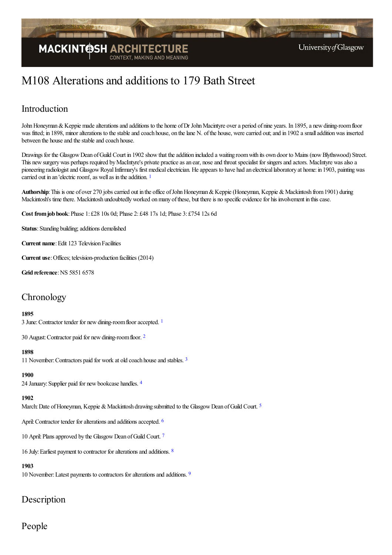

# M108 Alterations and additions to 179 Bath Street

# Introduction

John Honeyman & Keppie made alterations and additions to the home of Dr John Macintyre over a period of nine years. In 1895, a new dining-room floor was fitted; in 1898, minor alterations to the stable and coach house, on the lane N. of the house, were carried out; and in 1902 a small addition was inserted between the house and the stable and coach house.

Drawings for the Glasgow Dean of Guild Court in 1902 show that the addition included a waiting room with its own door to Mains (now Blythswood) Street. This new surgery was perhaps required by MacIntyre's private practice as an ear, nose and throat specialist for singers and actors. MacIntyre was also a pioneering radiologist and Glasgow Royal Infirmary's first medical electrician. He appears to have had an electrical laboratory at home: in 1903, painting was carried out in an 'electric room', as well as in the addition.  $1$ 

<span id="page-0-0"></span>Authorship: This is one of over 270 jobs carried out in the office of John Honeyman & Keppie (Honeyman, Keppie & Mackintosh from 1901) during Mackintosh's time there. Mackintosh undoubtedly worked on many of these, but there is no specific evidence for his involvement in this case.

**Cost fromjob book**:Phase 1: £28 10s 0d; Phase 2: £48 17s 1d; Phase 3: £754 12s 6d

**Status**: Standing building; additions demolished

**Current name:** Edit 123 Television Facilities

**Current use**:Offices; television-production facilities (2014)

**Grid reference: NS 5851 6578** 

## **Chronology**

#### <span id="page-0-1"></span>**1895**

3 June:Contractor tender for newdining-roomflooraccepted. [1](#page-3-1)

<span id="page-0-2"></span>30 August:Contractor paid for newdining-roomfloor. [2](#page-3-2)

#### **1898**

<span id="page-0-3"></span>11 November: Contractors paid for work at old coach house and stables. <sup>[3](#page-3-3)</sup>

#### <span id="page-0-4"></span>**1900**

2[4](#page-3-4) January: Supplier paid for new bookcase handles. 4

#### <span id="page-0-5"></span>**1902**

March: Date of Honeyman, Keppie & Mackintosh drawing submitted to the Glasgow Dean of Guild Court.<sup>[5](#page-3-5)</sup>

<span id="page-0-6"></span>April: Contractor tender for alterations and additions accepted. <sup>[6](#page-3-6)</sup>

<span id="page-0-7"></span>10 April: Plans approved by the Glasgow Dean of Guild Court.<sup>[7](#page-3-7)</sup>

<span id="page-0-8"></span>16 July: Earliest payment to contractor for alterations and additions. <sup>[8](#page-3-8)</sup>

#### **1903**

<span id="page-0-9"></span>10 November: Latest payments to contractors for alterations and additions. <sup>[9](#page-3-9)</sup>

## Description

## People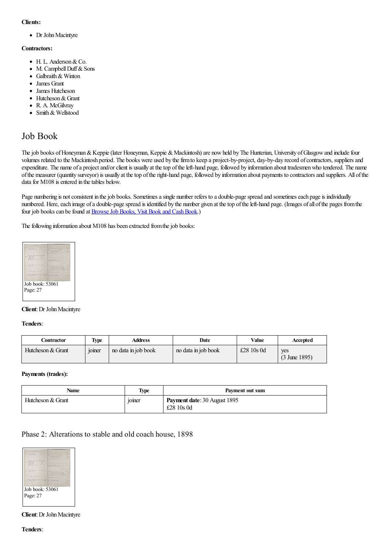#### **Clients:**

• Dr John Macintyre

#### **Contractors:**

- H. L. Anderson&Co.
- M. Campbell Duff & Sons
- Galbraith & Winton
- James Grant
- James Hutcheson
- Hutcheson & Grant
- R. A. McGilvrav
- Smith & Wellstood

## Job Book

The job books of Honeyman & Keppie (later Honeyman, Keppie & Mackintosh) are now held by The Hunterian, University of Glasgow and include four volumes related to the Mackintosh period. The books were used by the firm to keep a project-by-project, day-by-day record of contractors, suppliers and expenditure. The name of a project and/or client is usually at the top of the left-hand page, followed by information about tradesmen who tendered. The name ofthe measurer (quantity surveyor) is usually at thetop oftheright-hand page, followed by information about payments to contractorsand suppliers. All ofthe data for M108 is entered in the tables below.

Page numbering is not consistent in the job books. Sometimes a single number refers to a double-page spread and sometimes each page is individually numbered. Here, each image of a double-page spread is identified by the number given at the top of the left-hand page. (Images of all of the pages from the four job books can be found at Browse Job Books, Visit Book and Cash Book.)

The following information about M108 has been extracted from the job books:



#### **Client**: Dr John Macintyre

#### **Tenders**:

| Contractor        | <b>Type</b>                          | Address             | Date                | Value        | Accepted                        |
|-------------------|--------------------------------------|---------------------|---------------------|--------------|---------------------------------|
| Hutcheson & Grant | $\cdot$ $\cdot$<br><sub>10</sub> mer | no data in job book | no data in job book | £28 $10s$ 0d | ves<br>$(3 \text{ June } 1895)$ |

#### **Payments (trades):**

| Name              | <b>Type</b>                          | Payment out sum                                     |
|-------------------|--------------------------------------|-----------------------------------------------------|
| Hutcheson & Grant | $\cdot$ $\cdot$<br>10 <sub>mer</sub> | <b>Payment date: 30 August 1895</b><br>£28 $10s$ 0d |

### Phase 2: Alterations to stable and old coach house, 1898



**Client**: Dr John Macintyre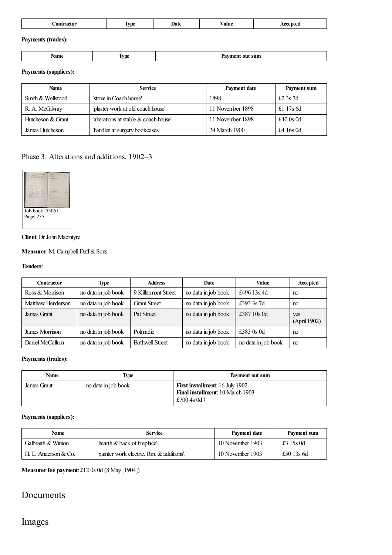| Contractor         | <b>Type</b> | Date | Value | Accepted |
|--------------------|-------------|------|-------|----------|
| Payments (trades): |             |      |       |          |

| <b>START START</b><br>rame<br>sum<br>.<br>$\sim$ $\sim$ $\sim$<br>. . |  |  |
|-----------------------------------------------------------------------|--|--|
|                                                                       |  |  |

#### **Payments (suppliers):**

| Name              | <b>Service</b>                        | Payment date     | Payment sum |
|-------------------|---------------------------------------|------------------|-------------|
| Smith & Wellstood | 'stove in Coach house'                | 1898             | £2 3s $7d$  |
| R. A. McGilvray   | 'plaster work at old coach house'     | 11 November 1898 | £1 17s $6d$ |
| Hutcheson & Grant | 'alterations at stable & coach house' | 11 November 1898 | £40 $0s$ 0d |
| James Hutcheson   | 'handles at surgery bookcases'        | 24 March 1900    | £4 16s 0d   |

## Phase 3: Alterations and additions, 1902–3



#### **Client**: Dr John Macintyre

### **Measurer:** M. Campbell Duff & Sons

#### **Tenders**:

| Contractor        | Type                | <b>Address</b>         | Date                | <b>Value</b>        | Accepted            |
|-------------------|---------------------|------------------------|---------------------|---------------------|---------------------|
| Ross & Morrison   | no data in job book | 9 Killermont Street    | no data in job book | £496 13s 4d         | m                   |
| Matthew Henderson | no data in job book | <b>Grant Street</b>    | no data in job book | £393 3s 7d          | no                  |
| James Grant       | no data in job book | <b>Pitt Street</b>     | no data in job book | £387 10s 0d         | yes<br>(April 1902) |
| James Morrison    | no data in job book | Polmadie               | no data in job book | £383 0s 0d          | m                   |
| Daniel McCallum   | no data in job book | <b>Bothwell Street</b> | no data in job book | no data in job book | m                   |

#### **Payments (trades):**

| Name        | Type                | Payment out sum                                                                                   |
|-------------|---------------------|---------------------------------------------------------------------------------------------------|
| James Grant | no data in job book | <b>First installment:</b> 16 July 1902<br><b>Final installment:</b> 10 March 1903<br>£700 4s 0d 1 |

### <span id="page-2-0"></span>**Payments (suppliers):**

| Name                   | <b>Service</b>                           | Payment date     | Payment sum |
|------------------------|------------------------------------------|------------------|-------------|
| Galbraith & Winton     | hearth & back of fireplace'.             | 10 November 1903 | £3 15s 0d   |
| H. L. Anderson $& Co.$ | 'painter work electric. Rm & additions'. | 10 November 1903 | £50 13s 6d  |

**Measurerfee payment**: £12 0s 0d (8 May [1904])

## Documents

# Images